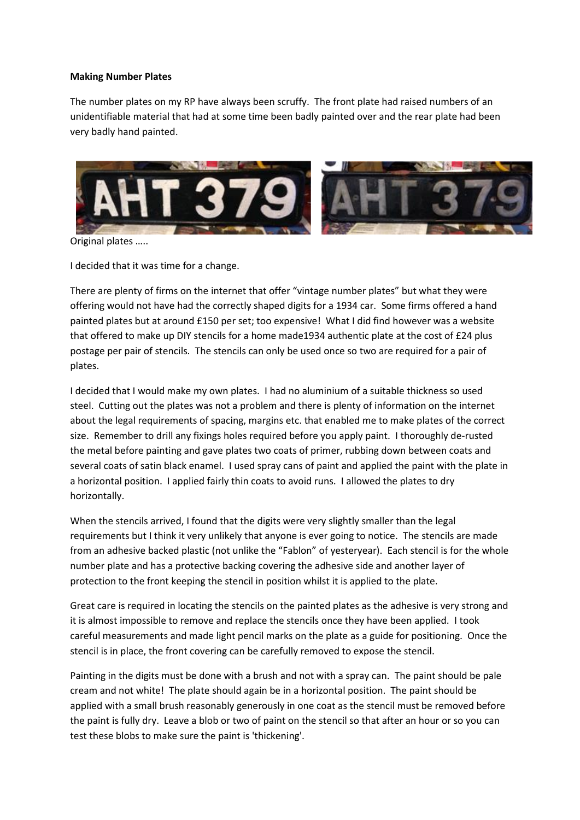## **Making Number Plates**

The number plates on my RP have always been scruffy. The front plate had raised numbers of an unidentifiable material that had at some time been badly painted over and the rear plate had been very badly hand painted.



Original plates …..

I decided that it was time for a change.

There are plenty of firms on the internet that offer "vintage number plates" but what they were offering would not have had the correctly shaped digits for a 1934 car. Some firms offered a hand painted plates but at around £150 per set; too expensive! What I did find however was a website that offered to make up DIY stencils for a home made1934 authentic plate at the cost of £24 plus postage per pair of stencils. The stencils can only be used once so two are required for a pair of plates.

I decided that I would make my own plates. I had no aluminium of a suitable thickness so used steel. Cutting out the plates was not a problem and there is plenty of information on the internet about the legal requirements of spacing, margins etc. that enabled me to make plates of the correct size. Remember to drill any fixings holes required before you apply paint. I thoroughly de-rusted the metal before painting and gave plates two coats of primer, rubbing down between coats and several coats of satin black enamel. I used spray cans of paint and applied the paint with the plate in a horizontal position. I applied fairly thin coats to avoid runs. I allowed the plates to dry horizontally.

When the stencils arrived, I found that the digits were very slightly smaller than the legal requirements but I think it very unlikely that anyone is ever going to notice. The stencils are made from an adhesive backed plastic (not unlike the "Fablon" of yesteryear). Each stencil is for the whole number plate and has a protective backing covering the adhesive side and another layer of protection to the front keeping the stencil in position whilst it is applied to the plate.

Great care is required in locating the stencils on the painted plates as the adhesive is very strong and it is almost impossible to remove and replace the stencils once they have been applied. I took careful measurements and made light pencil marks on the plate as a guide for positioning. Once the stencil is in place, the front covering can be carefully removed to expose the stencil.

Painting in the digits must be done with a brush and not with a spray can. The paint should be pale cream and not white! The plate should again be in a horizontal position. The paint should be applied with a small brush reasonably generously in one coat as the stencil must be removed before the paint is fully dry. Leave a blob or two of paint on the stencil so that after an hour or so you can test these blobs to make sure the paint is 'thickening'.